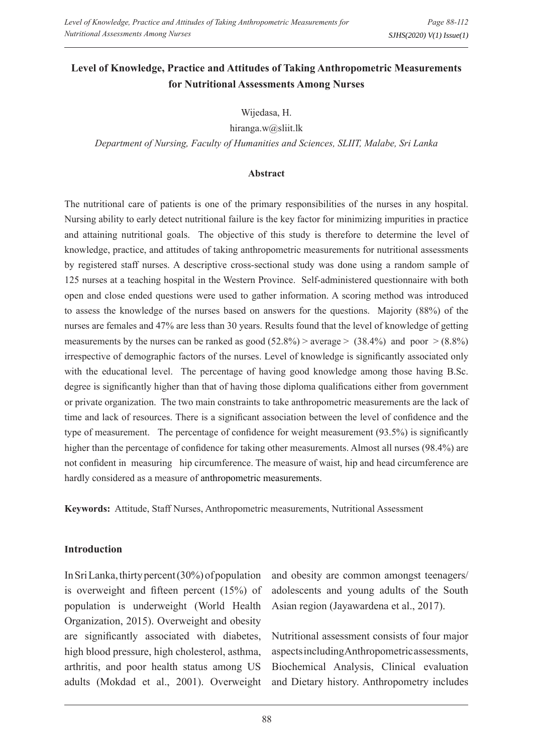# **Level of Knowledge, Practice and Attitudes of Taking Anthropometric Measurements for Nutritional Assessments Among Nurses**

Wijedasa, H.

hiranga.w@sliit.lk

*Department of Nursing, Faculty of Humanities and Sciences, SLIIT, Malabe, Sri Lanka*

#### **Abstract**

The nutritional care of patients is one of the primary responsibilities of the nurses in any hospital. Nursing ability to early detect nutritional failure is the key factor for minimizing impurities in practice and attaining nutritional goals. The objective of this study is therefore to determine the level of knowledge, practice, and attitudes of taking anthropometric measurements for nutritional assessments by registered staff nurses. A descriptive cross-sectional study was done using a random sample of 125 nurses at a teaching hospital in the Western Province. Self-administered questionnaire with both open and close ended questions were used to gather information. A scoring method was introduced to assess the knowledge of the nurses based on answers for the questions. Majority (88%) of the nurses are females and 47% are less than 30 years. Results found that the level of knowledge of getting measurements by the nurses can be ranked as good  $(52.8\%)$  > average >  $(38.4\%)$  and poor >  $(8.8\%)$ irrespective of demographic factors of the nurses. Level of knowledge is significantly associated only with the educational level. The percentage of having good knowledge among those having B.Sc. degree is significantly higher than that of having those diploma qualifications either from government or private organization. The two main constraints to take anthropometric measurements are the lack of time and lack of resources. There is a significant association between the level of confidence and the type of measurement. The percentage of confidence for weight measurement (93.5%) is significantly higher than the percentage of confidence for taking other measurements. Almost all nurses (98.4%) are not confident in measuring hip circumference. The measure of waist, hip and head circumference are hardly considered as a measure of anthropometric measurements.

**Keywords:** Attitude, Staff Nurses, Anthropometric measurements, Nutritional Assessment

## **Introduction**

In Sri Lanka, thirty percent (30%) of population is overweight and fifteen percent (15%) of population is underweight (World Health Organization, 2015). Overweight and obesity are significantly associated with diabetes, high blood pressure, high cholesterol, asthma, arthritis, and poor health status among US adults (Mokdad et al., 2001). Overweight

and obesity are common amongst teenagers/ adolescents and young adults of the South Asian region (Jayawardena et al., 2017).

Nutritional assessment consists of four major aspects including Anthropometric assessments, Biochemical Analysis, Clinical evaluation and Dietary history. Anthropometry includes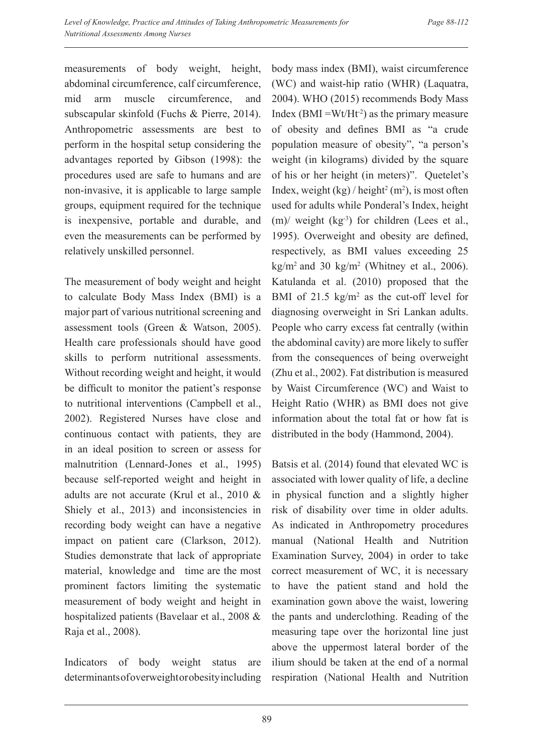measurements of body weight, height, abdominal circumference, calf circumference, mid arm muscle circumference, and subscapular skinfold (Fuchs & Pierre, 2014). Anthropometric assessments are best to perform in the hospital setup considering the advantages reported by Gibson (1998): the procedures used are safe to humans and are non-invasive, it is applicable to large sample groups, equipment required for the technique is inexpensive, portable and durable, and even the measurements can be performed by relatively unskilled personnel.

The measurement of body weight and height to calculate Body Mass Index (BMI) is a major part of various nutritional screening and assessment tools (Green & Watson, 2005). Health care professionals should have good skills to perform nutritional assessments. Without recording weight and height, it would be difficult to monitor the patient's response to nutritional interventions (Campbell et al., 2002). Registered Nurses have close and continuous contact with patients, they are in an ideal position to screen or assess for malnutrition (Lennard-Jones et al., 1995) because self-reported weight and height in adults are not accurate (Krul et al., 2010 & Shiely et al., 2013) and inconsistencies in recording body weight can have a negative impact on patient care (Clarkson, 2012). Studies demonstrate that lack of appropriate material, knowledge and time are the most prominent factors limiting the systematic measurement of body weight and height in hospitalized patients (Bavelaar et al., 2008 & Raja et al., 2008).

Indicators of body weight status are determinants of overweight or obesity including

body mass index (BMI), waist circumference (WC) and waist-hip ratio (WHR) (Laquatra, 2004). WHO (2015) recommends Body Mass Index (BMI =  $Wt/Ht^{-2}$ ) as the primary measure of obesity and defines BMI as "a crude population measure of obesity", "a person's weight (in kilograms) divided by the square of his or her height (in meters)". Quetelet's Index, weight  $(kg) / \text{height}^2$  (m<sup>2</sup>), is most often used for adults while Ponderal's Index, height  $(m)$  weight (kg<sup>-3</sup>) for children (Lees et al., 1995). Overweight and obesity are defined, respectively, as BMI values exceeding 25  $\text{kg/m}^2$  and 30 kg/m<sup>2</sup> (Whitney et al., 2006). Katulanda et al. (2010) proposed that the BMI of 21.5  $\text{kg/m}^2$  as the cut-off level for diagnosing overweight in Sri Lankan adults. People who carry excess fat centrally (within the abdominal cavity) are more likely to suffer from the consequences of being overweight (Zhu et al., 2002). Fat distribution is measured by Waist Circumference (WC) and Waist to Height Ratio (WHR) as BMI does not give information about the total fat or how fat is distributed in the body (Hammond, 2004).

Batsis et al. (2014) found that elevated WC is associated with lower quality of life, a decline in physical function and a slightly higher risk of disability over time in older adults. As indicated in Anthropometry procedures manual (National Health and Nutrition Examination Survey, 2004) in order to take correct measurement of WC, it is necessary to have the patient stand and hold the examination gown above the waist, lowering the pants and underclothing. Reading of the measuring tape over the horizontal line just above the uppermost lateral border of the ilium should be taken at the end of a normal respiration (National Health and Nutrition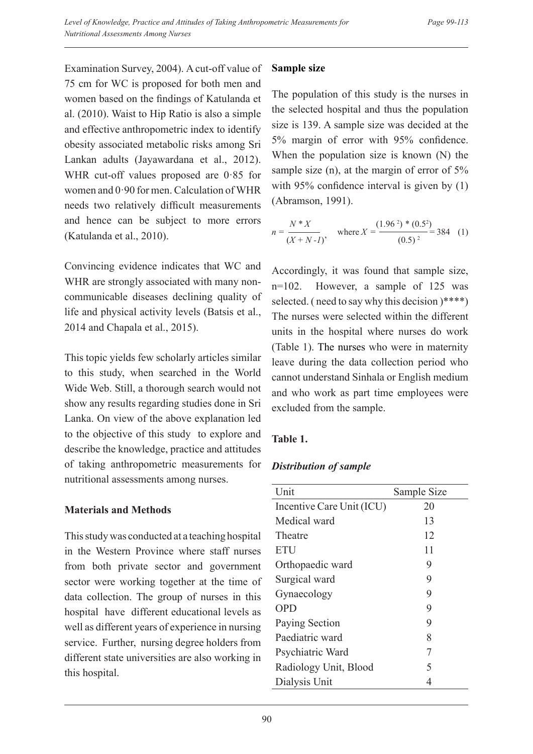Examination Survey, 2004). A cut-off value of 75 cm for WC is proposed for both men and women based on the findings of Katulanda et al. (2010). Waist to Hip Ratio is also a simple and effective anthropometric index to identify obesity associated metabolic risks among Sri Lankan adults (Jayawardana et al., 2012). WHR cut-off values proposed are 0·85 for women and 0·90 for men. Calculation of WHR needs two relatively difficult measurements and hence can be subject to more errors (Katulanda et al., 2010).

Convincing evidence indicates that WC and WHR are strongly associated with many noncommunicable diseases declining quality of life and physical activity levels (Batsis et al., 2014 and Chapala et al., 2015).

This topic yields few scholarly articles similar to this study, when searched in the World Wide Web. Still, a thorough search would not show any results regarding studies done in Sri Lanka. On view of the above explanation led to the objective of this study to explore and describe the knowledge, practice and attitudes of taking anthropometric measurements for nutritional assessments among nurses.

# **Materials and Methods**

This study was conducted at a teaching hospital in the Western Province where staff nurses from both private sector and government sector were working together at the time of data collection. The group of nurses in this hospital have different educational levels as well as different years of experience in nursing service. Further, nursing degree holders from different state universities are also working in this hospital.

## **Sample size**

The population of this study is the nurses in the selected hospital and thus the population size is 139. A sample size was decided at the 5% margin of error with 95% confidence. When the population size is known (N) the sample size (n), at the margin of error of 5% with 95% confidence interval is given by  $(1)$ (Abramson, 1991).

$$
n = \frac{N * X}{(X + N - I)}, \quad \text{where } X = \frac{(1.96^2) * (0.5^2)}{(0.5)^2} = 384 \quad (1)
$$

Accordingly, it was found that sample size, n=102. However, a sample of 125 was selected. ( need to say why this decision )\*\*\*\*) The nurses were selected within the different units in the hospital where nurses do work (Table 1). The nurses who were in maternity leave during the data collection period who cannot understand Sinhala or English medium and who work as part time employees were excluded from the sample.

# **Table 1.**

# *Distribution of sample*

| Unit                      | Sample Size |
|---------------------------|-------------|
| Incentive Care Unit (ICU) | 20          |
| Medical ward              | 13          |
| Theatre                   | 12          |
| <b>ETU</b>                | 11          |
| Orthopaedic ward          | 9           |
| Surgical ward             | 9           |
| Gynaecology               | 9           |
| <b>OPD</b>                | 9           |
| Paying Section            | 9           |
| Paediatric ward           | 8           |
| Psychiatric Ward          | 7           |
| Radiology Unit, Blood     | 5           |
| Dialysis Unit             |             |
|                           |             |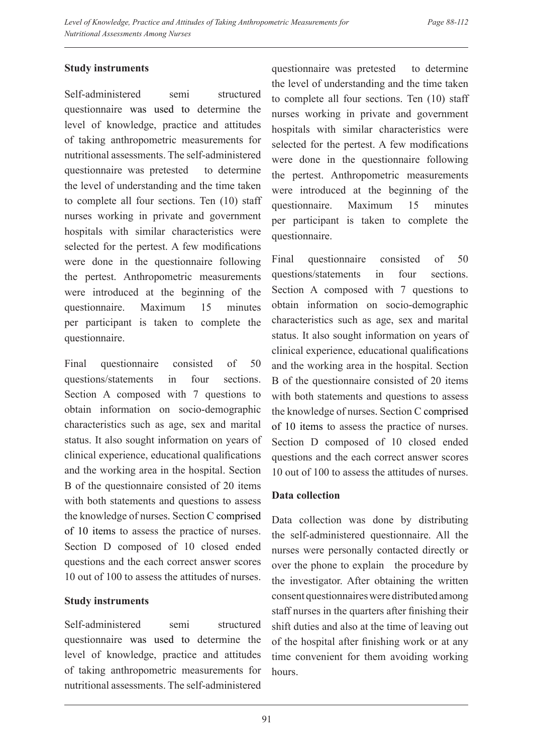## **Study instruments**

Self-administered semi structured questionnaire was used to determine the level of knowledge, practice and attitudes of taking anthropometric measurements for nutritional assessments. The self-administered questionnaire was pretested to determine the level of understanding and the time taken to complete all four sections. Ten (10) staff nurses working in private and government hospitals with similar characteristics were selected for the pertest. A few modifications were done in the questionnaire following the pertest. Anthropometric measurements were introduced at the beginning of the questionnaire. Maximum 15 minutes per participant is taken to complete the questionnaire.

Final questionnaire consisted of 50 questions/statements in four sections. Section A composed with 7 questions to obtain information on socio-demographic characteristics such as age, sex and marital status. It also sought information on years of clinical experience, educational qualifications and the working area in the hospital. Section B of the questionnaire consisted of 20 items with both statements and questions to assess the knowledge of nurses. Section C comprised of 10 items to assess the practice of nurses. Section D composed of 10 closed ended questions and the each correct answer scores 10 out of 100 to assess the attitudes of nurses.

## **Study instruments**

Self-administered semi structured questionnaire was used to determine the level of knowledge, practice and attitudes of taking anthropometric measurements for nutritional assessments. The self-administered

questionnaire was pretested to determine the level of understanding and the time taken to complete all four sections. Ten (10) staff nurses working in private and government hospitals with similar characteristics were selected for the pertest. A few modifications were done in the questionnaire following the pertest. Anthropometric measurements were introduced at the beginning of the questionnaire. Maximum 15 minutes per participant is taken to complete the questionnaire.

Final questionnaire consisted of 50 questions/statements in four sections. Section A composed with 7 questions to obtain information on socio-demographic characteristics such as age, sex and marital status. It also sought information on years of clinical experience, educational qualifications and the working area in the hospital. Section B of the questionnaire consisted of 20 items with both statements and questions to assess the knowledge of nurses. Section C comprised of 10 items to assess the practice of nurses. Section D composed of 10 closed ended questions and the each correct answer scores 10 out of 100 to assess the attitudes of nurses.

## **Data collection**

Data collection was done by distributing the self-administered questionnaire. All the nurses were personally contacted directly or over the phone to explain the procedure by the investigator. After obtaining the written consent questionnaires were distributed among staff nurses in the quarters after finishing their shift duties and also at the time of leaving out of the hospital after finishing work or at any time convenient for them avoiding working hours.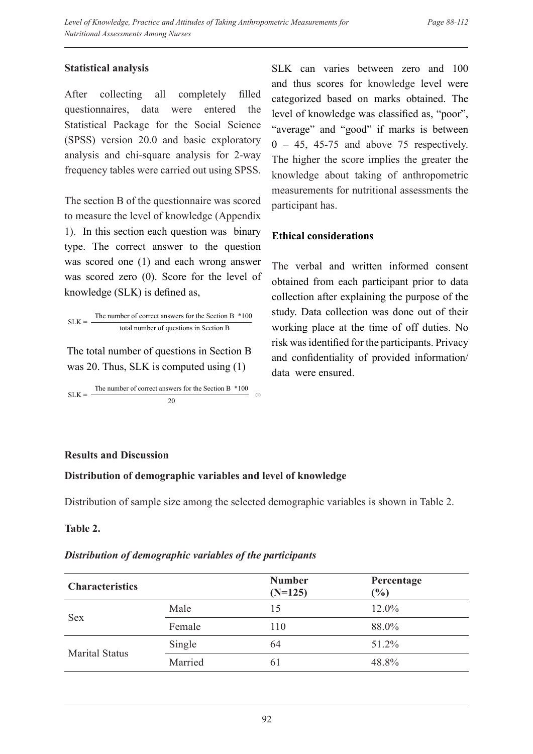## **Statistical analysis**

After collecting all completely filled questionnaires, data were entered the Statistical Package for the Social Science (SPSS) version 20.0 and basic exploratory analysis and chi-square analysis for 2-way frequency tables were carried out using SPSS.

The section B of the questionnaire was scored to measure the level of knowledge (Appendix 1). In this section each question was binary type. The correct answer to the question was scored one (1) and each wrong answer was scored zero (0). Score for the level of knowledge (SLK) is defined as,

 $SLK =$ The number of correct answers for the Section B \*100 total number of questions in Section B

The total number of questions in Section B was 20. Thus, SLK is computed using (1)

 $SLK =$ The number of correct answers for the Section B \*100 (1) 20

SLK can varies between zero and 100 and thus scores for knowledge level were categorized based on marks obtained. The level of knowledge was classified as, "poor", "average" and "good" if marks is between  $0 - 45$ , 45-75 and above 75 respectively. The higher the score implies the greater the knowledge about taking of anthropometric measurements for nutritional assessments the participant has.

## **Ethical considerations**

The verbal and written informed consent obtained from each participant prior to data collection after explaining the purpose of the study. Data collection was done out of their working place at the time of off duties. No risk was identified for the participants. Privacy and confidentiality of provided information/ data were ensured.

## **Results and Discussion**

## **Distribution of demographic variables and level of knowledge**

Distribution of sample size among the selected demographic variables is shown in Table 2.

## **Table 2.**

## *Distribution of demographic variables of the participants*

| <b>Characteristics</b> |         | <b>Number</b><br>$(N=125)$ | Percentage<br>$(\%)$ |
|------------------------|---------|----------------------------|----------------------|
|                        | Male    | 15                         | 12.0%                |
| <b>Sex</b>             | Female  | 110                        | 88.0%                |
|                        | Single  | 64                         | 51.2%                |
| <b>Marital Status</b>  | Married | 61                         | 48.8%                |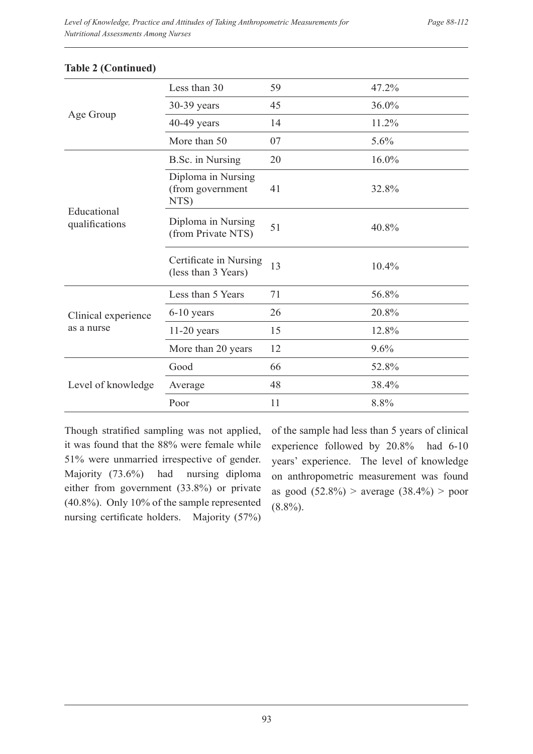|                               | Less than 30                                   | 59 | 47.2%    |
|-------------------------------|------------------------------------------------|----|----------|
| Age Group                     | 30-39 years                                    | 45 | 36.0%    |
|                               | $40-49$ years                                  | 14 | 11.2%    |
|                               | More than 50                                   | 07 | 5.6%     |
|                               | B.Sc. in Nursing                               | 20 | $16.0\%$ |
|                               | Diploma in Nursing<br>(from government<br>NTS) | 41 | 32.8%    |
| Educational<br>qualifications | Diploma in Nursing<br>(from Private NTS)       | 51 | 40.8%    |
|                               | Certificate in Nursing<br>(less than 3 Years)  | 13 | 10.4%    |
|                               | Less than 5 Years                              | 71 | 56.8%    |
| Clinical experience           | $6-10$ years                                   | 26 | 20.8%    |
| as a nurse                    | $11-20$ years                                  | 15 | 12.8%    |
|                               | More than 20 years                             | 12 | 9.6%     |
|                               | Good                                           | 66 | 52.8%    |
| Level of knowledge            | Average                                        | 48 | 38.4%    |
|                               | Poor                                           | 11 | 8.8%     |

#### **Table 2 (Continued)**

Though stratified sampling was not applied, it was found that the 88% were female while 51% were unmarried irrespective of gender. Majority (73.6%) had nursing diploma either from government (33.8%) or private (40.8%). Only 10% of the sample represented nursing certificate holders. Majority (57%)

of the sample had less than 5 years of clinical experience followed by 20.8% had 6-10 years' experience. The level of knowledge on anthropometric measurement was found as good (52.8%) > average (38.4%) > poor  $(8.8\%)$ .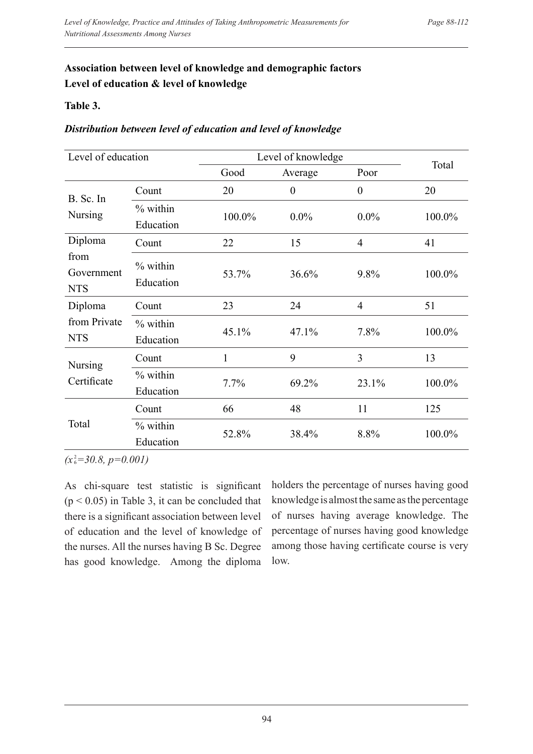# **Association between level of knowledge and demographic factors Level of education & level of knowledge**

## **Table 3.**

## *Distribution between level of education and level of knowledge*

| Level of education               |                         | Level of knowledge |                  |                  |        |
|----------------------------------|-------------------------|--------------------|------------------|------------------|--------|
|                                  |                         | Good               | Average          | Poor             | Total  |
|                                  | Count                   | 20                 | $\boldsymbol{0}$ | $\boldsymbol{0}$ | 20     |
| B. Sc. In<br><b>Nursing</b>      | % within<br>Education   | 100.0%             | $0.0\%$          | $0.0\%$          | 100.0% |
| Diploma                          | Count                   | 22                 | 15               | $\overline{4}$   | 41     |
| from<br>Government<br><b>NTS</b> | % within<br>Education   | 53.7%              | 36.6%            | 9.8%             | 100.0% |
| Diploma                          | Count                   | 23                 | 24               | $\overline{4}$   | 51     |
| from Private<br><b>NTS</b>       | $%$ within<br>Education | 45.1%              | 47.1%            | 7.8%             | 100.0% |
| <b>Nursing</b>                   | Count                   | $\mathbf{1}$       | 9                | 3                | 13     |
| Certificate                      | $%$ within<br>Education | 7.7%               | 69.2%            | 23.1%            | 100.0% |
|                                  | Count                   | 66                 | 48               | 11               | 125    |
| Total                            | % within<br>Education   | 52.8%              | 38.4%            | 8.8%             | 100.0% |

 $(x_6^2=30.8, p=0.001)$ 

As chi-square test statistic is significant  $(p < 0.05)$  in Table 3, it can be concluded that there is a significant association between level of education and the level of knowledge of the nurses. All the nurses having B Sc. Degree has good knowledge. Among the diploma

holders the percentage of nurses having good knowledge is almost the same as the percentage of nurses having average knowledge. The percentage of nurses having good knowledge among those having certificate course is very low.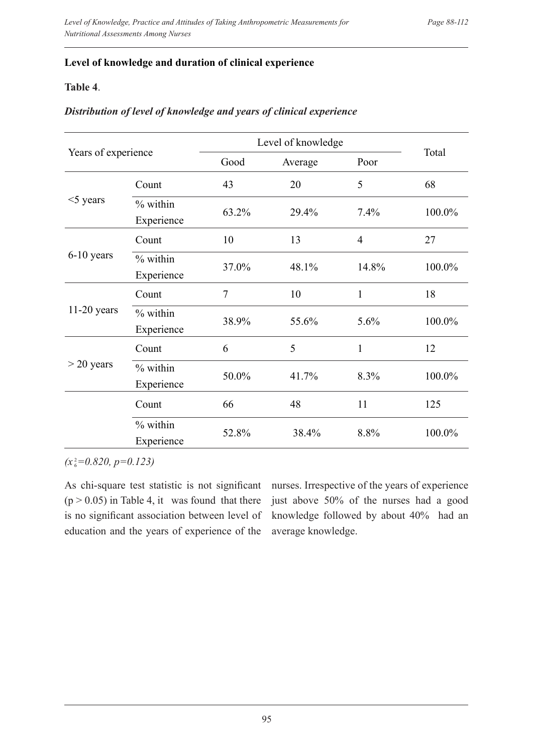## **Level of knowledge and duration of clinical experience**

## **Table 4**.

#### *Distribution of level of knowledge and years of clinical experience*

| Years of experience |                          | Level of knowledge |         |                |        |
|---------------------|--------------------------|--------------------|---------|----------------|--------|
|                     |                          | Good               | Average | Poor           | Total  |
|                     | Count                    | 43                 | 20      | 5              | 68     |
| $<$ 5 years         | $%$ within<br>Experience | 63.2%              | 29.4%   | 7.4%           | 100.0% |
|                     | Count                    | 10                 | 13      | $\overline{4}$ | 27     |
| $6-10$ years        | % within<br>Experience   | 37.0%              | 48.1%   | 14.8%          | 100.0% |
|                     | Count                    | $\overline{7}$     | 10      | $\mathbf{1}$   | 18     |
| $11-20$ years       | $%$ within<br>Experience | 38.9%              | 55.6%   | 5.6%           | 100.0% |
|                     | Count                    | 6                  | 5       | $\mathbf{1}$   | 12     |
| $>$ 20 years        | $%$ within<br>Experience | 50.0%              | 41.7%   | 8.3%           | 100.0% |
|                     | Count                    | 66                 | 48      | 11             | 125    |
|                     | $%$ within<br>Experience | 52.8%              | 38.4%   | 8.8%           | 100.0% |

 $(x_6^2=0.820, p=0.123)$ 

As chi-square test statistic is not significant  $(p > 0.05)$  in Table 4, it was found that there is no significant association between level of education and the years of experience of the

nurses. Irrespective of the years of experience just above 50% of the nurses had a good knowledge followed by about 40% had an average knowledge.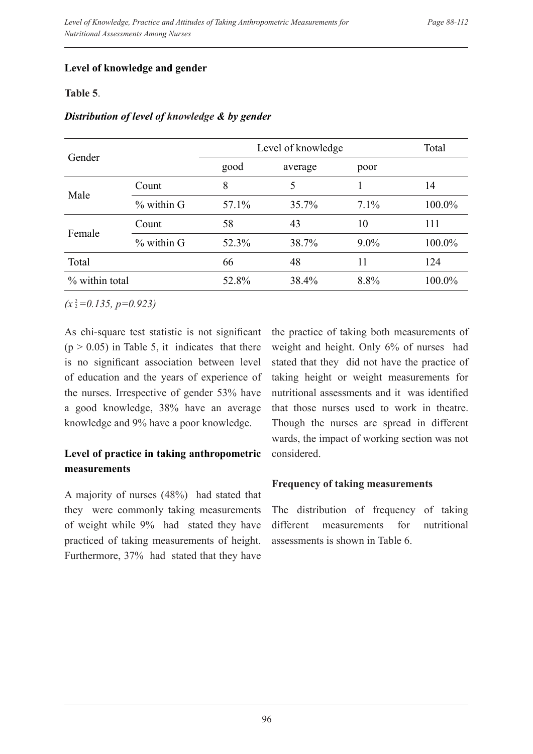## **Level of knowledge and gender**

## **Table 5**.

|                |              | Level of knowledge |          |         | Total  |
|----------------|--------------|--------------------|----------|---------|--------|
| Gender         |              | good               | average  | poor    |        |
| Male           | Count        | 8                  | 5        |         | 14     |
|                | $%$ within G | 57.1%              | $35.7\%$ | $7.1\%$ | 100.0% |
|                | Count        | 58                 | 43       | 10      | 111    |
| Female         | $%$ within G | 52.3%              | 38.7%    | $9.0\%$ | 100.0% |
| Total          |              | 66                 | 48       | 11      | 124    |
| % within total |              | 52.8%              | 38.4%    | 8.8%    | 100.0% |

#### *Distribution of level of knowledge & by gender*

 $(x^2=0.135, p=0.923)$ 

As chi-square test statistic is not significant  $(p > 0.05)$  in Table 5, it indicates that there is no significant association between level of education and the years of experience of the nurses. Irrespective of gender 53% have a good knowledge, 38% have an average knowledge and 9% have a poor knowledge.

# **Level of practice in taking anthropometric measurements**

A majority of nurses (48%) had stated that they were commonly taking measurements of weight while 9% had stated they have practiced of taking measurements of height. Furthermore, 37% had stated that they have

the practice of taking both measurements of weight and height. Only 6% of nurses had stated that they did not have the practice of taking height or weight measurements for nutritional assessments and it was identified that those nurses used to work in theatre. Though the nurses are spread in different wards, the impact of working section was not considered.

# **Frequency of taking measurements**

The distribution of frequency of taking different measurements for nutritional assessments is shown in Table 6.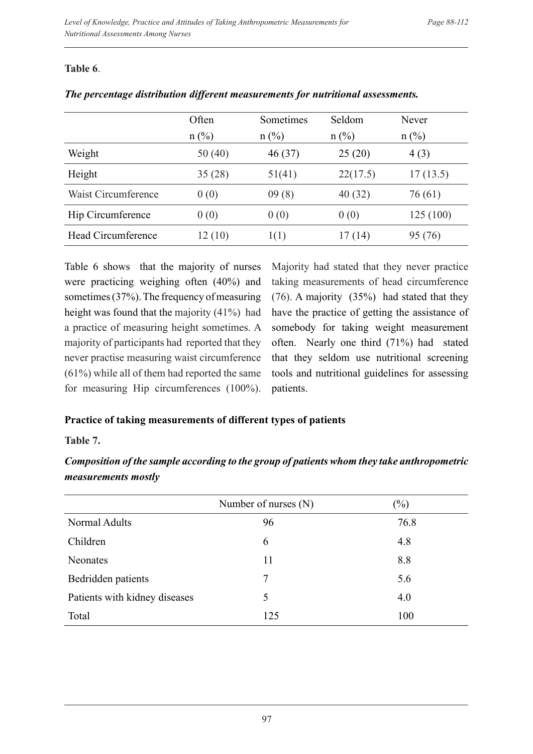## **Table 6**.

|                     | Often<br>$n$ (%) | Sometimes<br>$n$ (%) | Seldom<br>$n$ (%) | Never<br>$n$ (%) |
|---------------------|------------------|----------------------|-------------------|------------------|
| Weight              | 50(40)           | 46(37)               | 25(20)            | 4(3)             |
| Height              | 35(28)           | 51(41)               | 22(17.5)          | 17(13.5)         |
| Waist Circumference | 0(0)             | 09(8)                | 40(32)            | 76 (61)          |
| Hip Circumference   | 0(0)             | 0(0)                 | 0(0)              | 125 (100)        |
| Head Circumference  | 12(10)           | 1(1)                 | 17(14)            | 95 (76)          |

|  |  | The percentage distribution different measurements for nutritional assessments. |  |  |
|--|--|---------------------------------------------------------------------------------|--|--|
|  |  |                                                                                 |  |  |

Table 6 shows that the majority of nurses were practicing weighing often (40%) and sometimes (37%). The frequency of measuring height was found that the majority (41%) had a practice of measuring height sometimes. A majority of participants had reported that they never practise measuring waist circumference (61%) while all of them had reported the same for measuring Hip circumferences (100%).

Majority had stated that they never practice taking measurements of head circumference (76). A majority (35%) had stated that they have the practice of getting the assistance of somebody for taking weight measurement often. Nearly one third (71%) had stated that they seldom use nutritional screening tools and nutritional guidelines for assessing patients.

# **Practice of taking measurements of different types of patients**

## **Table 7.**

*Composition of the sample according to the group of patients whom they take anthropometric measurements mostly*

|                               | Number of nurses (N) | $(\%)$ |
|-------------------------------|----------------------|--------|
| Normal Adults                 | 96                   | 76.8   |
| Children                      | 6                    | 4.8    |
| <b>Neonates</b>               | 11                   | 8.8    |
| Bedridden patients            |                      | 5.6    |
| Patients with kidney diseases | 5                    | 4.0    |
| Total                         | 125                  | 100    |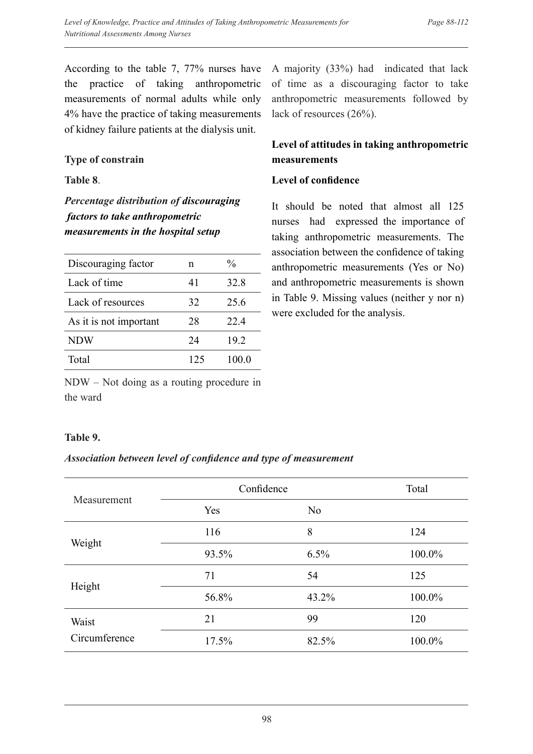According to the table 7, 77% nurses have the practice of taking anthropometric measurements of normal adults while only 4% have the practice of taking measurements of kidney failure patients at the dialysis unit.

#### **Type of constrain**

#### **Table 8**.

*Percentage distribution of discouraging factors to take anthropometric measurements in the hospital setup*

| Discouraging factor    | n   | $\frac{0}{0}$ |
|------------------------|-----|---------------|
| Lack of time           | 41  | 32.8          |
| Lack of resources      | 32  | 25.6          |
| As it is not important | 28  | 224           |
| <b>NDW</b>             | 24  | 19.2          |
| Total                  | 125 | 100.0         |
|                        |     |               |

NDW – Not doing as a routing procedure in the ward

A majority (33%) had indicated that lack of time as a discouraging factor to take anthropometric measurements followed by lack of resources (26%).

# **Level of attitudes in taking anthropometric measurements**

#### **Level of confidence**

It should be noted that almost all 125 nurses had expressed the importance of taking anthropometric measurements. The association between the confidence of taking anthropometric measurements (Yes or No) and anthropometric measurements is shown in Table 9. Missing values (neither y nor n) were excluded for the analysis.

## **Table 9.**

## *Association between level of confidence and type of measurement*

|               | Confidence | Total          |        |
|---------------|------------|----------------|--------|
| Measurement   | Yes        | N <sub>o</sub> |        |
|               | 116        | 8              | 124    |
| Weight        | 93.5%      | 6.5%           | 100.0% |
|               | 71         | 54             | 125    |
| Height        | 56.8%      | 43.2%          | 100.0% |
| Waist         | 21         | 99             | 120    |
| Circumference | 17.5%      | 82.5%          | 100.0% |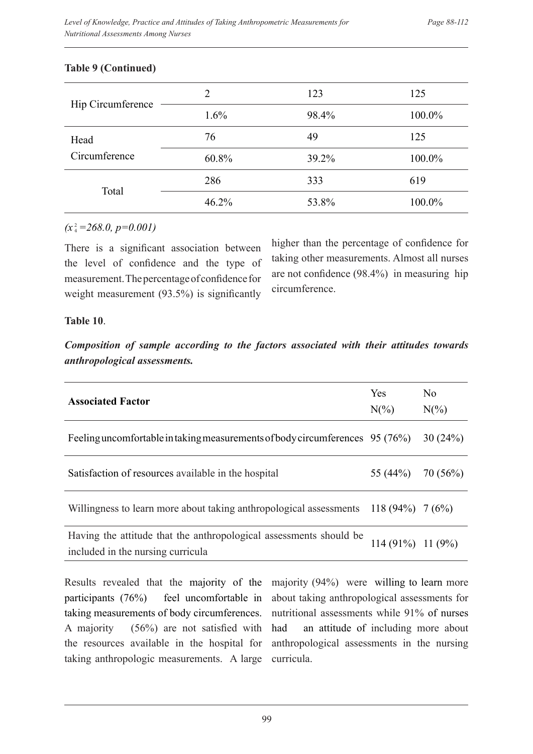|                   | $\overline{2}$ | 123   | 125    |
|-------------------|----------------|-------|--------|
| Hip Circumference | 1.6%           | 98.4% | 100.0% |
| Head              | 76             | 49    | 125    |
| Circumference     | 60.8%          | 39.2% | 100.0% |
| Total             | 286            | 333   | 619    |
|                   | 46.2%          | 53.8% | 100.0% |

#### **Table 9 (Continued)**

## $(x_4^2=268.0, p=0.001)$

There is a significant association between the level of confidence and the type of measurement. The percentage of confidence for weight measurement (93.5%) is significantly

higher than the percentage of confidence for taking other measurements. Almost all nurses are not confidence (98.4%) in measuring hip circumference.

## **Table 10**.

*Composition of sample according to the factors associated with their attitudes towards anthropological assessments.* 

| <b>Associated Factor</b>                                                                                | <b>Yes</b><br>$N(\%)$ | N <sub>0</sub><br>$N(\%)$ |
|---------------------------------------------------------------------------------------------------------|-----------------------|---------------------------|
| Feeling uncomfortable in taking measurements of body circumferences 95 (76%)                            |                       | 30(24%)                   |
| Satisfaction of resources available in the hospital                                                     | 55 (44%)              | 70(56%)                   |
| Willingness to learn more about taking anthropological assessments 118 (94%) $7(6\%)$                   |                       |                           |
| Having the attitude that the anthropological assessments should be<br>included in the nursing curricula | $114(91\%) 11(9\%)$   |                           |

Results revealed that the majority of the participants (76%) feel uncomfortable in taking measurements of body circumferences. A majority (56%) are not satisfied with the resources available in the hospital for taking anthropologic measurements. A large majority (94%) were willing to learn more about taking anthropological assessments for nutritional assessments while 91% of nurses had an attitude of including more about anthropological assessments in the nursing curricula.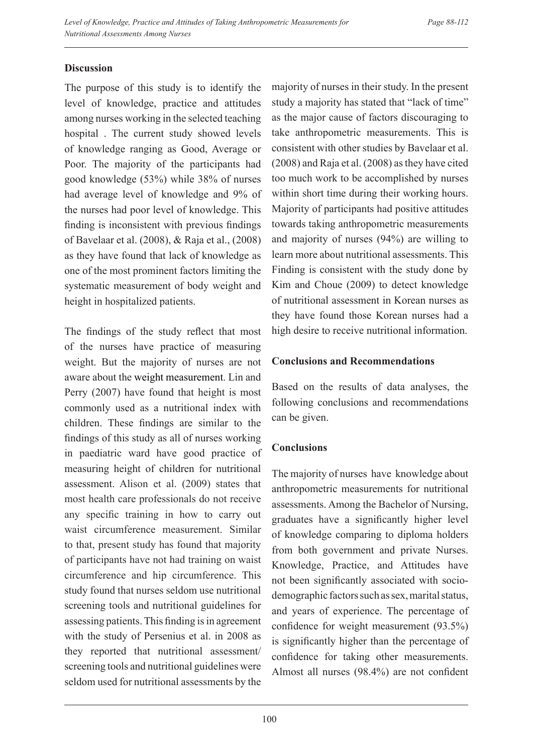# **Discussion**

The purpose of this study is to identify the level of knowledge, practice and attitudes among nurses working in the selected teaching hospital . The current study showed levels of knowledge ranging as Good, Average or Poor. The majority of the participants had good knowledge (53%) while 38% of nurses had average level of knowledge and 9% of the nurses had poor level of knowledge. This finding is inconsistent with previous findings of Bavelaar et al. (2008), & Raja et al., (2008) as they have found that lack of knowledge as one of the most prominent factors limiting the systematic measurement of body weight and height in hospitalized patients.

The findings of the study reflect that most of the nurses have practice of measuring weight. But the majority of nurses are not aware about the weight measurement. Lin and Perry (2007) have found that height is most commonly used as a nutritional index with children. These findings are similar to the findings of this study as all of nurses working in paediatric ward have good practice of measuring height of children for nutritional assessment. Alison et al. (2009) states that most health care professionals do not receive any specific training in how to carry out waist circumference measurement. Similar to that, present study has found that majority of participants have not had training on waist circumference and hip circumference. This study found that nurses seldom use nutritional screening tools and nutritional guidelines for assessing patients. This finding is in agreement with the study of Persenius et al. in 2008 as they reported that nutritional assessment/ screening tools and nutritional guidelines were seldom used for nutritional assessments by the

majority of nurses in their study. In the present study a majority has stated that "lack of time" as the major cause of factors discouraging to take anthropometric measurements. This is consistent with other studies by Bavelaar et al. (2008) and Raja et al. (2008) as they have cited too much work to be accomplished by nurses within short time during their working hours. Majority of participants had positive attitudes towards taking anthropometric measurements and majority of nurses (94%) are willing to learn more about nutritional assessments. This Finding is consistent with the study done by Kim and Choue (2009) to detect knowledge of nutritional assessment in Korean nurses as they have found those Korean nurses had a high desire to receive nutritional information.

## **Conclusions and Recommendations**

Based on the results of data analyses, the following conclusions and recommendations can be given.

# **Conclusions**

The majority of nurses have knowledge about anthropometric measurements for nutritional assessments. Among the Bachelor of Nursing, graduates have a significantly higher level of knowledge comparing to diploma holders from both government and private Nurses. Knowledge, Practice, and Attitudes have not been significantly associated with sociodemographic factors such as sex, marital status, and years of experience. The percentage of confidence for weight measurement (93.5%) is significantly higher than the percentage of confidence for taking other measurements. Almost all nurses (98.4%) are not confident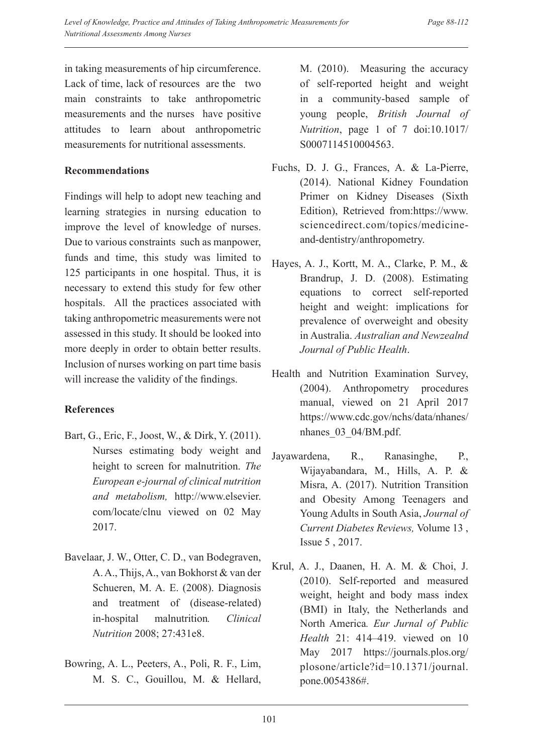in taking measurements of hip circumference. Lack of time, lack of resources are the two main constraints to take anthropometric measurements and the nurses have positive attitudes to learn about anthropometric measurements for nutritional assessments.

#### **Recommendations**

Findings will help to adopt new teaching and learning strategies in nursing education to improve the level of knowledge of nurses. Due to various constraints such as manpower, funds and time, this study was limited to 125 participants in one hospital. Thus, it is necessary to extend this study for few other hospitals. All the practices associated with taking anthropometric measurements were not assessed in this study. It should be looked into more deeply in order to obtain better results. Inclusion of nurses working on part time basis will increase the validity of the findings.

# **References**

- Bart, G., Eric, F., Joost, W., & Dirk, Y. (2011). Nurses estimating body weight and height to screen for malnutrition. *The European e-journal of clinical nutrition and metabolism,* http://www.elsevier. com/locate/clnu viewed on 02 May 2017.
- Bavelaar, J. W., Otter, C. D., van Bodegraven, A. A., Thijs, A., van Bokhorst & van der Schueren, M. A. E. (2008). Diagnosis and treatment of (disease-related) in-hospital malnutrition*. Clinical Nutrition* 2008; 27:431e8.
- Bowring, A. L., Peeters, A., Poli, R. F., Lim, M. S. C., Gouillou, M. & Hellard,

M. (2010). Measuring the accuracy of self-reported height and weight in a community-based sample of young people, *British Journal of Nutrition*, page 1 of 7 doi:10.1017/ S0007114510004563.

- Fuchs, D. J. G., Frances, A. & La-Pierre, (2014). National Kidney Foundation Primer on Kidney Diseases (Sixth Edition), Retrieved from:https://www. sciencedirect.com/topics/medicineand-dentistry/anthropometry.
- Hayes, A. J., Kortt, M. A., Clarke, P. M., & Brandrup, J. D. (2008). Estimating equations to correct self-reported height and weight: implications for prevalence of overweight and obesity in Australia. *Australian and Newzealnd Journal of Public Health*.
- Health and Nutrition Examination Survey, (2004). Anthropometry procedures manual, viewed on 21 April 2017 https://www.cdc.gov/nchs/data/nhanes/ nhanes  $03$  04/BM.pdf.
- Jayawardena, R., Ranasinghe, P., Wijayabandara, M., Hills, A. P. & Misra, A. (2017). Nutrition Transition and Obesity Among Teenagers and Young Adults in South Asia, *Journal of Current Diabetes Reviews,* Volume 13 , Issue 5 , 2017.
- Krul, A. J., Daanen, H. A. M. & Choi, J. (2010). Self-reported and measured weight, height and body mass index (BMI) in Italy, the Netherlands and North America*. Eur Jurnal of Public Health* 21: 414–419. viewed on 10 May 2017 https://journals.plos.org/ plosone/article?id=10.1371/journal. pone.0054386#.